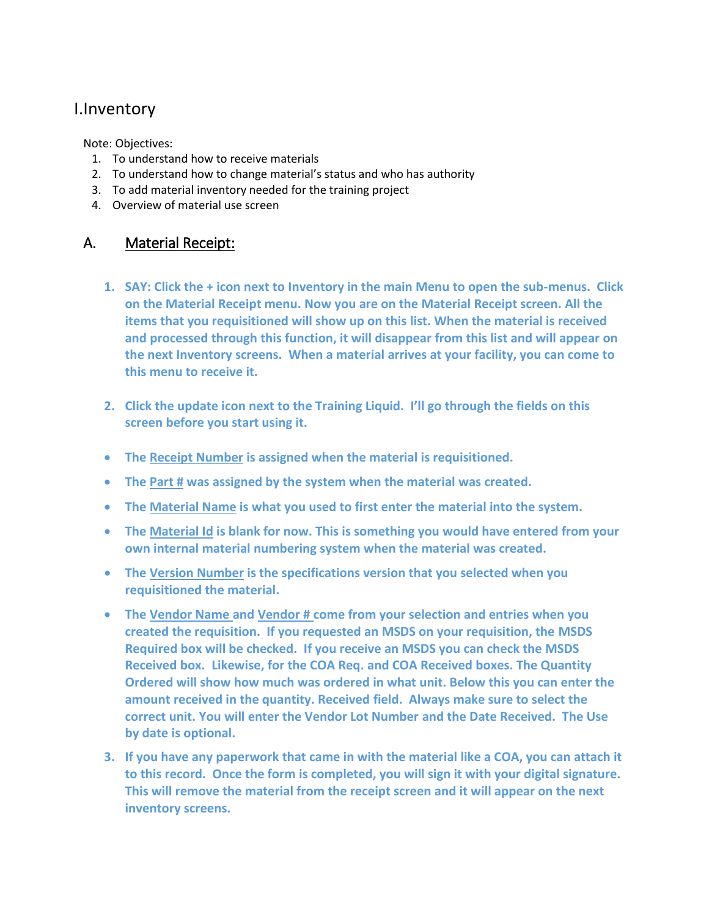# I.Inventory

Note: Objectives:

- 1. To understand how to receive materials
- 2. To understand how to change material's status and who has authority
- 3. To add material inventory needed for the training project
- 4. Overview of material use screen

## A. Material Receipt:

- **1. SAY: Click the + icon next to Inventory in the main Menu to open the sub-menus. Click on the Material Receipt menu. Now you are on the Material Receipt screen. All the items that you requisitioned will show up on this list. When the material is received and processed through this function, it will disappear from this list and will appear on the next Inventory screens. When a material arrives at your facility, you can come to this menu to receive it.**
- **2. Click the update icon next to the Training Liquid. I'll go through the fields on this screen before you start using it.**
- **The Receipt Number is assigned when the material is requisitioned.**
- **The Part # was assigned by the system when the material was created.**
- **The Material Name is what you used to first enter the material into the system.**
- **The Material Id is blank for now. This is something you would have entered from your own internal material numbering system when the material was created.**
- **The Version Number is the specifications version that you selected when you requisitioned the material.**
- **The Vendor Name and Vendor # come from your selection and entries when you created the requisition. If you requested an MSDS on your requisition, the MSDS Required box will be checked. If you receive an MSDS you can check the MSDS Received box. Likewise, for the COA Req. and COA Received boxes. The Quantity Ordered will show how much was ordered in what unit. Below this you can enter the amount received in the quantity. Received field. Always make sure to select the correct unit. You will enter the Vendor Lot Number and the Date Received. The Use by date is optional.**
- **3. If you have any paperwork that came in with the material like a COA, you can attach it to this record. Once the form is completed, you will sign it with your digital signature. This will remove the material from the receipt screen and it will appear on the next inventory screens.**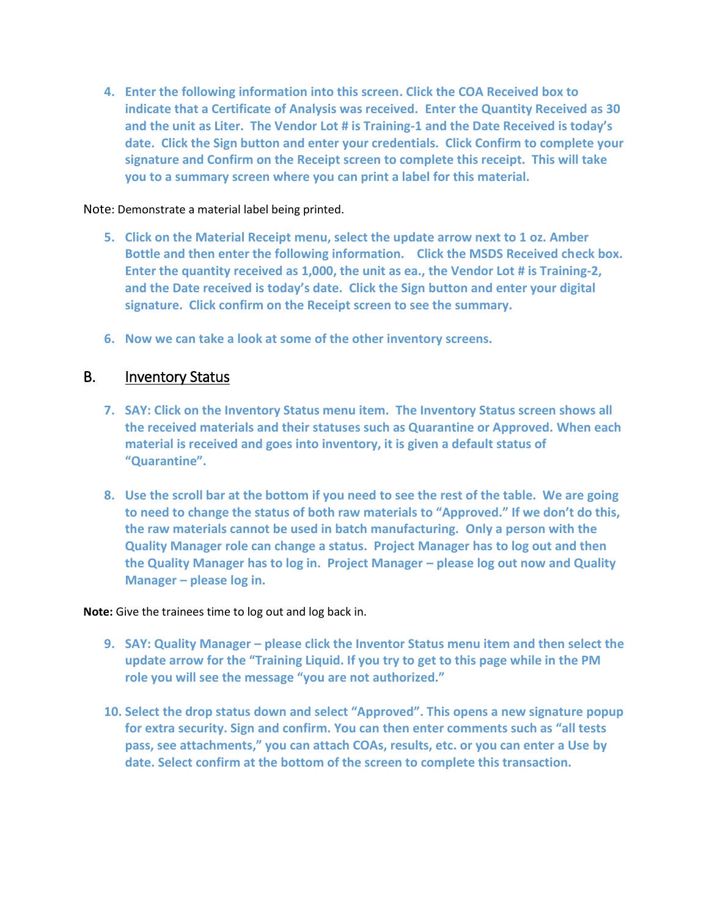**4. Enter the following information into this screen. Click the COA Received box to indicate that a Certificate of Analysis was received. Enter the Quantity Received as 30 and the unit as Liter. The Vendor Lot # is Training-1 and the Date Received is today's date. Click the Sign button and enter your credentials. Click Confirm to complete your signature and Confirm on the Receipt screen to complete this receipt. This will take you to a summary screen where you can print a label for this material.** 

#### Note: Demonstrate a material label being printed.

- **5. Click on the Material Receipt menu, select the update arrow next to 1 oz. Amber Bottle and then enter the following information. Click the MSDS Received check box. Enter the quantity received as 1,000, the unit as ea., the Vendor Lot # is Training-2, and the Date received is today's date. Click the Sign button and enter your digital signature. Click confirm on the Receipt screen to see the summary.**
- **6. Now we can take a look at some of the other inventory screens.**

### B. Inventory Status

- **7. SAY: Click on the Inventory Status menu item. The Inventory Status screen shows all the received materials and their statuses such as Quarantine or Approved. When each material is received and goes into inventory, it is given a default status of "Quarantine".**
- **8. Use the scroll bar at the bottom if you need to see the rest of the table. We are going to need to change the status of both raw materials to "Approved." If we don't do this, the raw materials cannot be used in batch manufacturing. Only a person with the Quality Manager role can change a status. Project Manager has to log out and then the Quality Manager has to log in. Project Manager – please log out now and Quality Manager – please log in.**

#### **Note:** Give the trainees time to log out and log back in.

- **9. SAY: Quality Manager – please click the Inventor Status menu item and then select the update arrow for the "Training Liquid. If you try to get to this page while in the PM role you will see the message "you are not authorized."**
- **10. Select the drop status down and select "Approved". This opens a new signature popup for extra security. Sign and confirm. You can then enter comments such as "all tests pass, see attachments," you can attach COAs, results, etc. or you can enter a Use by date. Select confirm at the bottom of the screen to complete this transaction.**